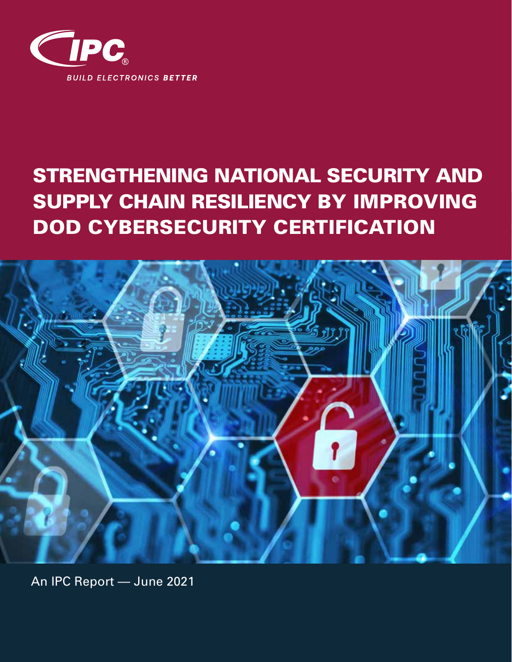

# STRENGTHENING NATIONAL SECURITY AND SUPPLY CHAIN RESILIENCY BY IMPROVING DOD CYBERSECURITY CERTIFICATION



An IPC Report — June 2021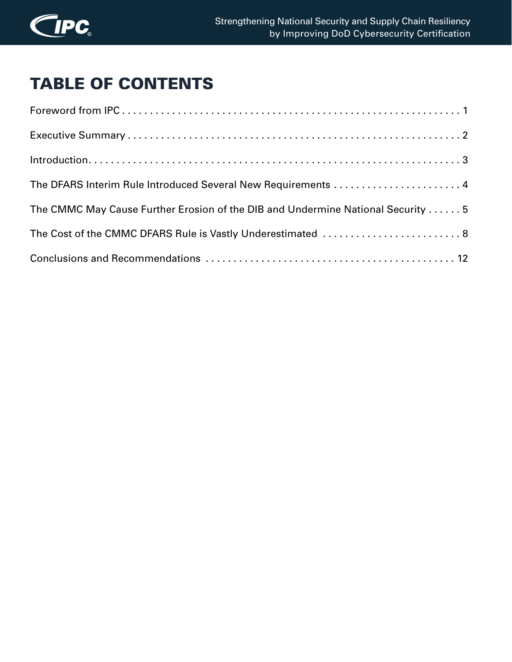

## TABLE OF CONTENTS

| The DFARS Interim Rule Introduced Several New Requirements  4                   |  |
|---------------------------------------------------------------------------------|--|
| The CMMC May Cause Further Erosion of the DIB and Undermine National Security 5 |  |
| The Cost of the CMMC DFARS Rule is Vastly Underestimated  8                     |  |
|                                                                                 |  |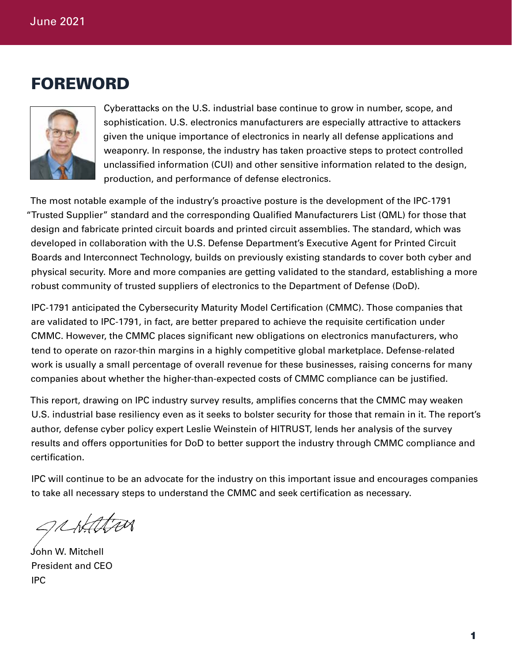### FOREWORD



Cyberattacks on the U.S. industrial base continue to grow in number, scope, and sophistication. U.S. electronics manufacturers are especially attractive to attackers given the unique importance of electronics in nearly all defense applications and weaponry. In response, the industry has taken proactive steps to protect controlled unclassified information (CUI) and other sensitive information related to the design, production, and performance of defense electronics.

The most notable example of the industry's proactive posture is the development of the IPC-1791 "Trusted Supplier" standard and the corresponding Qualified Manufacturers List (QML) for those that design and fabricate printed circuit boards and printed circuit assemblies. The standard, which was developed in collaboration with the U.S. Defense Department's Executive Agent for Printed Circuit Boards and Interconnect Technology, builds on previously existing standards to cover both cyber and physical security. More and more companies are getting validated to the standard, establishing a more robust community of trusted suppliers of electronics to the Department of Defense (DoD).

IPC-1791 anticipated the Cybersecurity Maturity Model Certification (CMMC). Those companies that are validated to IPC-1791, in fact, are better prepared to achieve the requisite certification under CMMC. However, the CMMC places significant new obligations on electronics manufacturers, who tend to operate on razor-thin margins in a highly competitive global marketplace. Defense-related work is usually a small percentage of overall revenue for these businesses, raising concerns for many companies about whether the higher-than-expected costs of CMMC compliance can be justified.

This report, drawing on IPC industry survey results, amplifies concerns that the CMMC may weaken U.S. industrial base resiliency even as it seeks to bolster security for those that remain in it. The report's author, defense cyber policy expert Leslie Weinstein of HITRUST, lends her analysis of the survey results and offers opportunities for DoD to better support the industry through CMMC compliance and certification.

IPC will continue to be an advocate for the industry on this important issue and encourages companies to take all necessary steps to understand the CMMC and seek certification as necessary.

gruttin

John W. Mitchell President and CEO IPC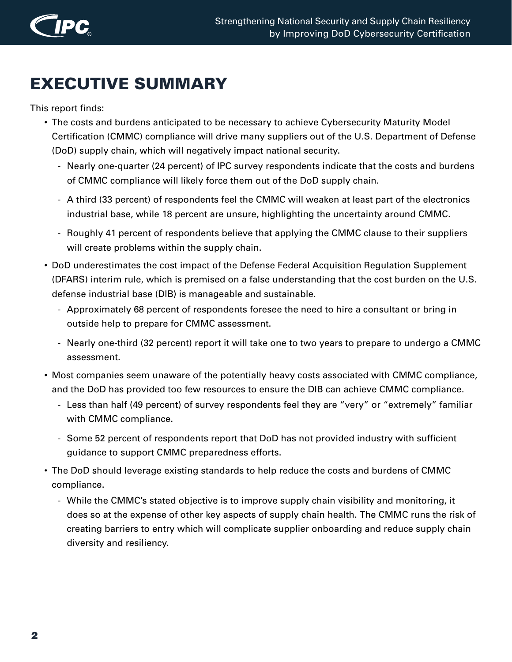

## EXECUTIVE SUMMARY

This report finds:

- The costs and burdens anticipated to be necessary to achieve Cybersecurity Maturity Model Certification (CMMC) compliance will drive many suppliers out of the U.S. Department of Defense (DoD) supply chain, which will negatively impact national security.
	- Nearly one-quarter (24 percent) of IPC survey respondents indicate that the costs and burdens of CMMC compliance will likely force them out of the DoD supply chain.
	- A third (33 percent) of respondents feel the CMMC will weaken at least part of the electronics industrial base, while 18 percent are unsure, highlighting the uncertainty around CMMC.
	- Roughly 41 percent of respondents believe that applying the CMMC clause to their suppliers will create problems within the supply chain.
- DoD underestimates the cost impact of the Defense Federal Acquisition Regulation Supplement (DFARS) interim rule, which is premised on a false understanding that the cost burden on the U.S. defense industrial base (DIB) is manageable and sustainable.
	- Approximately 68 percent of respondents foresee the need to hire a consultant or bring in outside help to prepare for CMMC assessment.
	- Nearly one-third (32 percent) report it will take one to two years to prepare to undergo a CMMC assessment.
- Most companies seem unaware of the potentially heavy costs associated with CMMC compliance, and the DoD has provided too few resources to ensure the DIB can achieve CMMC compliance.
	- Less than half (49 percent) of survey respondents feel they are "very" or "extremely" familiar with CMMC compliance.
	- Some 52 percent of respondents report that DoD has not provided industry with sufficient guidance to support CMMC preparedness efforts.
- The DoD should leverage existing standards to help reduce the costs and burdens of CMMC compliance.
	- While the CMMC's stated objective is to improve supply chain visibility and monitoring, it does so at the expense of other key aspects of supply chain health. The CMMC runs the risk of creating barriers to entry which will complicate supplier onboarding and reduce supply chain diversity and resiliency.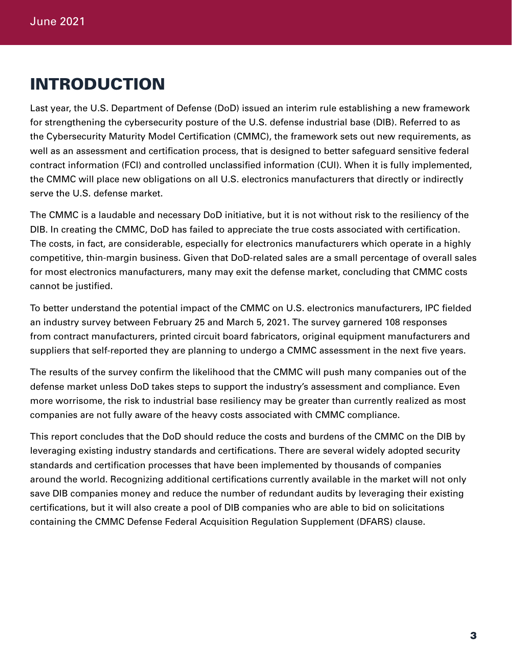### INTRODUCTION

Last year, the U.S. Department of Defense (DoD) issued an interim rule establishing a new framework for strengthening the cybersecurity posture of the U.S. defense industrial base (DIB). Referred to as the Cybersecurity Maturity Model Certification (CMMC), the framework sets out new requirements, as well as an assessment and certification process, that is designed to better safeguard sensitive federal contract information (FCI) and controlled unclassified information (CUI). When it is fully implemented, the CMMC will place new obligations on all U.S. electronics manufacturers that directly or indirectly serve the U.S. defense market.

The CMMC is a laudable and necessary DoD initiative, but it is not without risk to the resiliency of the DIB. In creating the CMMC, DoD has failed to appreciate the true costs associated with certification. The costs, in fact, are considerable, especially for electronics manufacturers which operate in a highly competitive, thin-margin business. Given that DoD-related sales are a small percentage of overall sales for most electronics manufacturers, many may exit the defense market, concluding that CMMC costs cannot be justified.

To better understand the potential impact of the CMMC on U.S. electronics manufacturers, IPC fielded an industry survey between February 25 and March 5, 2021. The survey garnered 108 responses from contract manufacturers, printed circuit board fabricators, original equipment manufacturers and suppliers that self-reported they are planning to undergo a CMMC assessment in the next five years.

The results of the survey confirm the likelihood that the CMMC will push many companies out of the defense market unless DoD takes steps to support the industry's assessment and compliance. Even more worrisome, the risk to industrial base resiliency may be greater than currently realized as most companies are not fully aware of the heavy costs associated with CMMC compliance.

This report concludes that the DoD should reduce the costs and burdens of the CMMC on the DIB by leveraging existing industry standards and certifications. There are several widely adopted security standards and certification processes that have been implemented by thousands of companies around the world. Recognizing additional certifications currently available in the market will not only save DIB companies money and reduce the number of redundant audits by leveraging their existing certifications, but it will also create a pool of DIB companies who are able to bid on solicitations containing the CMMC Defense Federal Acquisition Regulation Supplement (DFARS) clause.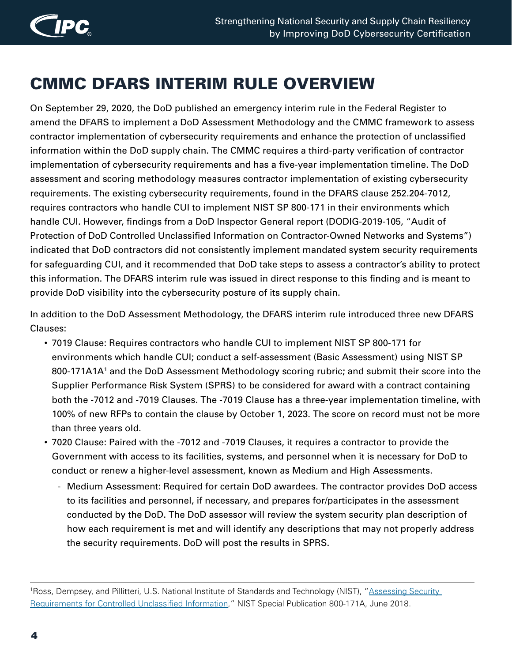

## CMMC DFARS INTERIM RULE OVERVIEW

On September 29, 2020, the DoD published an emergency interim rule in the Federal Register to amend the DFARS to implement a DoD Assessment Methodology and the CMMC framework to assess contractor implementation of cybersecurity requirements and enhance the protection of unclassified information within the DoD supply chain. The CMMC requires a third-party verification of contractor implementation of cybersecurity requirements and has a five-year implementation timeline. The DoD assessment and scoring methodology measures contractor implementation of existing cybersecurity requirements. The existing cybersecurity requirements, found in the DFARS clause 252.204-7012, requires contractors who handle CUI to implement NIST SP 800-171 in their environments which handle CUI. However, findings from a DoD Inspector General report (DODIG-2019-105, "Audit of Protection of DoD Controlled Unclassified Information on Contractor-Owned Networks and Systems") indicated that DoD contractors did not consistently implement mandated system security requirements for safeguarding CUI, and it recommended that DoD take steps to assess a contractor's ability to protect this information. The DFARS interim rule was issued in direct response to this finding and is meant to provide DoD visibility into the cybersecurity posture of its supply chain.

In addition to the DoD Assessment Methodology, the DFARS interim rule introduced three new DFARS Clauses:

- 7019 Clause: Requires contractors who handle CUI to implement NIST SP 800-171 for environments which handle CUI; conduct a self-assessment (Basic Assessment) using NIST SP 800-171A1A1 and the DoD Assessment Methodology scoring rubric; and submit their score into the Supplier Performance Risk System (SPRS) to be considered for award with a contract containing both the -7012 and -7019 Clauses. The -7019 Clause has a three-year implementation timeline, with 100% of new RFPs to contain the clause by October 1, 2023. The score on record must not be more than three years old.
- 7020 Clause: Paired with the -7012 and -7019 Clauses, it requires a contractor to provide the Government with access to its facilities, systems, and personnel when it is necessary for DoD to conduct or renew a higher-level assessment, known as Medium and High Assessments.
	- Medium Assessment: Required for certain DoD awardees. The contractor provides DoD access to its facilities and personnel, if necessary, and prepares for/participates in the assessment conducted by the DoD. The DoD assessor will review the system security plan description of how each requirement is met and will identify any descriptions that may not properly address the security requirements. DoD will post the results in SPRS.

<sup>&</sup>lt;sup>1</sup>Ross, Dempsey, and Pillitteri, U.S. National Institute of Standards and Technology (NIST), "Assessing Security [Requirements for Controlled Unclassified Informatio](https://nvlpubs.nist.gov/nistpubs/SpecialPublications/NIST.SP.800-171A.pdf)n," NIST Special Publication 800-171A, June 2018.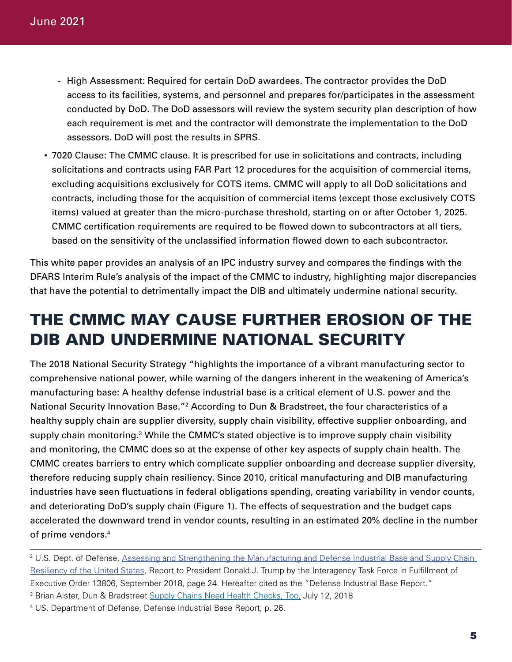- High Assessment: Required for certain DoD awardees. The contractor provides the DoD access to its facilities, systems, and personnel and prepares for/participates in the assessment conducted by DoD. The DoD assessors will review the system security plan description of how each requirement is met and the contractor will demonstrate the implementation to the DoD assessors. DoD will post the results in SPRS.
- 7020 Clause: The CMMC clause. It is prescribed for use in solicitations and contracts, including solicitations and contracts using FAR Part 12 procedures for the acquisition of commercial items, excluding acquisitions exclusively for COTS items. CMMC will apply to all DoD solicitations and contracts, including those for the acquisition of commercial items (except those exclusively COTS items) valued at greater than the micro-purchase threshold, starting on or after October 1, 2025. CMMC certification requirements are required to be flowed down to subcontractors at all tiers, based on the sensitivity of the unclassified information flowed down to each subcontractor.

This white paper provides an analysis of an IPC industry survey and compares the findings with the DFARS Interim Rule's analysis of the impact of the CMMC to industry, highlighting major discrepancies that have the potential to detrimentally impact the DIB and ultimately undermine national security.

## THE CMMC MAY CAUSE FURTHER EROSION OF THE DIB AND UNDERMINE NATIONAL SECURITY

The 2018 National Security Strategy "highlights the importance of a vibrant manufacturing sector to comprehensive national power, while warning of the dangers inherent in the weakening of America's manufacturing base: A healthy defense industrial base is a critical element of U.S. power and the National Security Innovation Base."<sup>2</sup> According to Dun & Bradstreet, the four characteristics of a healthy supply chain are supplier diversity, supply chain visibility, effective supplier onboarding, and supply chain monitoring.<sup>3</sup> While the CMMC's stated objective is to improve supply chain visibility and monitoring, the CMMC does so at the expense of other key aspects of supply chain health. The CMMC creates barriers to entry which complicate supplier onboarding and decrease supplier diversity, therefore reducing supply chain resiliency. Since 2010, critical manufacturing and DIB manufacturing industries have seen fluctuations in federal obligations spending, creating variability in vendor counts, and deteriorating DoD's supply chain (Figure 1). The effects of sequestration and the budget caps accelerated the downward trend in vendor counts, resulting in an estimated 20% decline in the number of prime vendors. 4

<sup>&</sup>lt;sup>2</sup> U.S. Dept. of Defense, Assessing and Strengthening the Manufacturing and Defense Industrial Base and Supply Chain [Resiliency of the United States,](https://media.defense.gov/2018/Oct/05/2002048904/-1/-1/1/ASSESSING-AND-STRENGTHENING-THE-MANUFACTURING-AND-DEFENSE-INDUSTRIAL-BASE-AND-SUPPLY-CHAIN-RESILIENCY.PDF) Report to President Donald J. Trump by the Interagency Task Force in Fulfillment of Executive Order 13806, September 2018, page 24. Hereafter cited as the "Defense Industrial Base Report."

<sup>&</sup>lt;sup>3</sup> Brian Alster, Dun & Bradstreet [Supply Chains Need Health Checks, Too](https://www.dnb.com/perspectives/supply-chain/4-steps-healthy-supply-chain.html), July 12, 2018

<sup>4</sup> US. Department of Defense, Defense Industrial Base Report, p. 26.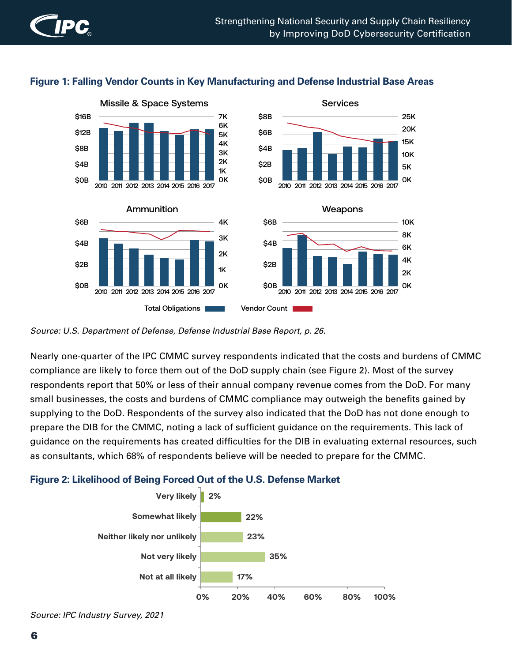

### **Figure 1: Falling Vendor Counts in Key Manufacturing and Defense Industrial Base Areas**





*Source: U.S. Department of Defense, Defense Industrial Base Report, p. 26.*

Nearly one-quarter of the IPC CMMC survey respondents indicated that the costs and burdens of CMMC compliance are likely to force them out of the DoD supply chain (see Figure 2). Most of the survey respondents report that 50% or less of their annual company revenue comes from the DoD. For many small businesses, the costs and burdens of CMMC compliance may outweigh the benefits gained by supplying to the DoD. Respondents of the survey also indicated that the DoD has not done enough to prepare the DIB for the CMMC, noting a lack of sufficient guidance on the requirements. This lack of guidance on the requirements has created difficulties for the DIB in evaluating external resources, such as consultants, which 68% of respondents believe will be needed to prepare for the CMMC.

### **Figure 2: Likelihood of Being Forced Out of the U.S. Defense Market Likelihood of Being Forced Out of U.S. Defense Market**



*Source: IPC Industry Survey, 2021*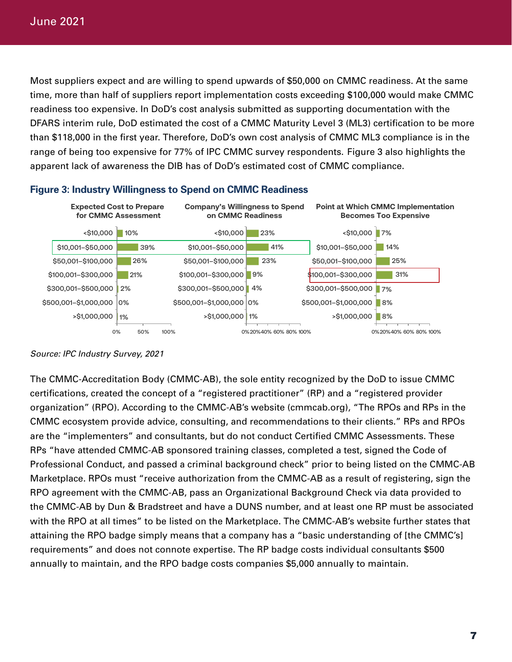Most suppliers expect and are willing to spend upwards of \$50,000 on CMMC readiness. At the same time, more than half of suppliers report implementation costs exceeding \$100,000 would make CMMC readiness too expensive. In DoD's cost analysis submitted as supporting documentation with the DFARS interim rule, DoD estimated the cost of a CMMC Maturity Level 3 (ML3) certification to be more than \$118,000 in the first year. Therefore, DoD's own cost analysis of CMMC ML3 compliance is in the range of being too expensive for 77% of IPC CMMC survey respondents. Figure 3 also highlights the apparent lack of awareness the DIB has of DoD's estimated cost of CMMC compliance. **Very likely**



### **Figure 3: Industry Willingness to Spend on CMMC Readiness CMMC Readiness Expenditures**



The CMMC-Accreditation Body (CMMC-AB), the sole entity recognized by the DoD to issue CMMC certifications, created the concept of a "registered practitioner" (RP) and a "registered provider organization" (RPO). According to the CMMC-AB's website (cmmcab.org), "The RPOs and RPs in the CMMC ecosystem provide advice, consulting, and recommendations to their clients." RPs and RPOs are the "implementers" and consultants, but do not conduct Certified CMMC Assessments. These RPs "have attended CMMC-AB sponsored training classes, completed a test, signed the Code of Professional Conduct, and passed a criminal background check" prior to being listed on the CMMC-AB Marketplace. RPOs must "receive authorization from the CMMC-AB as a result of registering, sign the RPO agreement with the CMMC-AB, pass an Organizational Background Check via data provided to the CMMC-AB by Dun & Bradstreet and have a DUNS number, and at least one RP must be associated with the RPO at all times" to be listed on the Marketplace. The CMMC-AB's website further states that attaining the RPO badge simply means that a company has a "basic understanding of [the CMMC's] requirements" and does not connote expertise. The RP badge costs individual consultants \$500 annually to maintain, and the RPO badge costs companies \$5,000 annually to maintain.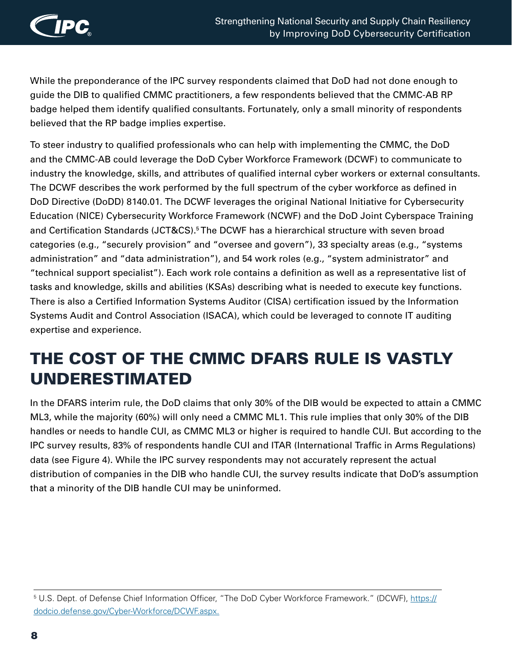

While the preponderance of the IPC survey respondents claimed that DoD had not done enough to guide the DIB to qualified CMMC practitioners, a few respondents believed that the CMMC-AB RP badge helped them identify qualified consultants. Fortunately, only a small minority of respondents believed that the RP badge implies expertise.

To steer industry to qualified professionals who can help with implementing the CMMC, the DoD and the CMMC-AB could leverage the DoD Cyber Workforce Framework (DCWF) to communicate to industry the knowledge, skills, and attributes of qualified internal cyber workers or external consultants. The DCWF describes the work performed by the full spectrum of the cyber workforce as defined in DoD Directive (DoDD) 8140.01. The DCWF leverages the original National Initiative for Cybersecurity Education (NICE) Cybersecurity Workforce Framework (NCWF) and the DoD Joint Cyberspace Training and Certification Standards (JCT&CS). 5 The DCWF has a hierarchical structure with seven broad categories (e.g., "securely provision" and "oversee and govern"), 33 specialty areas (e.g., "systems administration" and "data administration"), and 54 work roles (e.g., "system administrator" and "technical support specialist"). Each work role contains a definition as well as a representative list of tasks and knowledge, skills and abilities (KSAs) describing what is needed to execute key functions. There is also a Certified Information Systems Auditor (CISA) certification issued by the Information Systems Audit and Control Association (ISACA), which could be leveraged to connote IT auditing expertise and experience.

## THE COST OF THE CMMC DFARS RULE IS VASTLY UNDERESTIMATED

In the DFARS interim rule, the DoD claims that only 30% of the DIB would be expected to attain a CMMC ML3, while the majority (60%) will only need a CMMC ML1. This rule implies that only 30% of the DIB handles or needs to handle CUI, as CMMC ML3 or higher is required to handle CUI. But according to the IPC survey results, 83% of respondents handle CUI and ITAR (International Traffic in Arms Regulations) data (see Figure 4). While the IPC survey respondents may not accurately represent the actual distribution of companies in the DIB who handle CUI, the survey results indicate that DoD's assumption that a minority of the DIB handle CUI may be uninformed.

<sup>&</sup>lt;sup>5</sup> U.S. Dept. of Defense Chief Information Officer, "The DoD Cyber Workforce Framework." (DCWF), [https://](https://dodcio.defense.gov/Cyber-Workforce/DCWF.aspx) [dodcio.defense.gov/Cyber-Workforce/DCWF.aspx](https://dodcio.defense.gov/Cyber-Workforce/DCWF.aspx).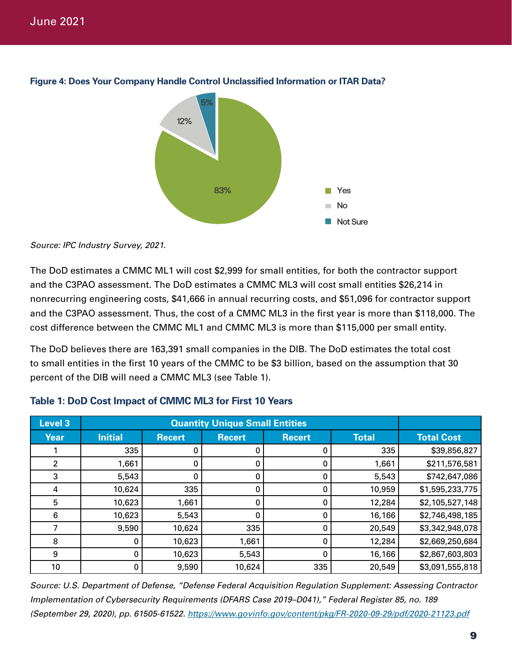



*Source: IPC Industry Survey, 2021.*

The DoD estimates a CMMC ML1 will cost \$2,999 for small entities, for both the contractor support and the C3PAO assessment. The DoD estimates a CMMC ML3 will cost small entities \$26,214 in nonrecurring engineering costs, \$41,666 in annual recurring costs, and \$51,096 for contractor support and the C3PAO assessment. Thus, the cost of a CMMC ML3 in the first year is more than \$118,000. The cost difference between the CMMC ML1 and CMMC ML3 is more than \$115,000 per small entity.

The DoD believes there are 163,391 small companies in the DIB. The DoD estimates the total cost to small entities in the first 10 years of the CMMC to be \$3 billion, based on the assumption that 30 percent of the DIB will need a CMMC ML3 (see Table 1).

| <b>Level 3</b> |                |               |               |               |        |                   |
|----------------|----------------|---------------|---------------|---------------|--------|-------------------|
| <b>Year</b>    | <b>Initial</b> | <b>Recert</b> | <b>Recert</b> | <b>Recert</b> | Total  | <b>Total Cost</b> |
|                | 335            | 0             | 0             | 0             | 335    | \$39,856,827      |
| 2              | 1,661          | 0             | 0             | 0             | 1,661  | \$211,576,581     |
| 3              | 5,543          | 0             | 0             | 0             | 5,543  | \$742,647,086     |
| 4              | 10,624         | 335           | 0             | 0             | 10,959 | \$1,595,233,775   |
| 5              | 10,623         | 1,661         | 0             | 0             | 12,284 | \$2,105,527,148   |
| 6              | 10,623         | 5,543         | 0             | 0             | 16,166 | \$2,746,498,185   |
|                | 9,590          | 10,624        | 335           | 0             | 20,549 | \$3,342,948,078   |
| 8              |                | 10,623        | 1,661         | 0             | 12,284 | \$2,669,250,684   |
| 9              |                | 10,623        | 5,543         | 0             | 16,166 | \$2,867,603,803   |
| 10             |                | 9,590         | 10,624        | 335           | 20,549 | \$3,091,555,818   |

### **Table 1: DoD Cost Impact of CMMC ML3 for First 10 Years**

*Source: U.S. Department of Defense, "Defense Federal Acquisition Regulation Supplement: Assessing Contractor Implementation of Cybersecurity Requirements (DFARS Case 2019–D041)," Federal Register 85, no. 189 (September 29, 2020), pp. 61505-61522.<https://www.govinfo.gov/content/pkg/FR-2020-09-29/pdf/2020-21123.pdf>*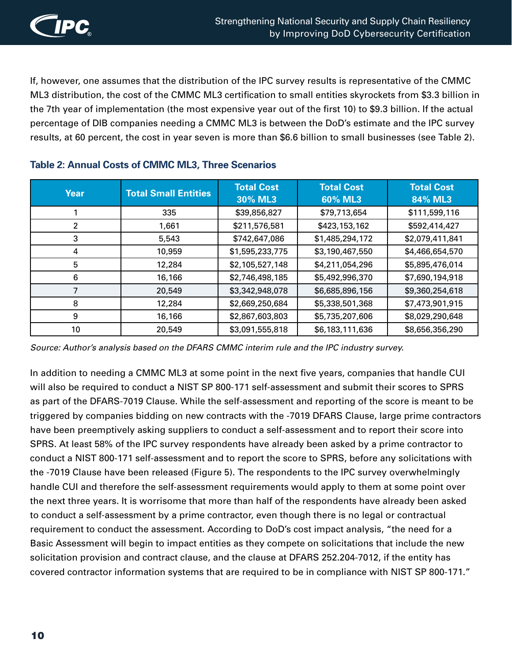

If, however, one assumes that the distribution of the IPC survey results is representative of the CMMC ML3 distribution, the cost of the CMMC ML3 certification to small entities skyrockets from \$3.3 billion in the 7th year of implementation (the most expensive year out of the first 10) to \$9.3 billion. If the actual percentage of DIB companies needing a CMMC ML3 is between the DoD's estimate and the IPC survey results, at 60 percent, the cost in year seven is more than \$6.6 billion to small businesses (see Table 2).

| <b>Year</b>    | <b>Total Small Entities</b> | <b>Total Cost</b><br>30% ML3 | <b>Total Cost</b><br>60% ML3 | <b>Total Cost</b><br>84% ML3 |
|----------------|-----------------------------|------------------------------|------------------------------|------------------------------|
|                | 335                         | \$39,856,827                 | \$79,713,654                 | \$111,599,116                |
| $\overline{2}$ | 1,661                       | \$211,576,581                | \$423,153,162                | \$592,414,427                |
| 3              | 5,543                       | \$742,647,086                | \$1,485,294,172              | \$2,079,411,841              |
| 4              | 10,959                      | \$1,595,233,775              | \$3,190,467,550              | \$4,466,654,570              |
| 5              | 12,284                      | \$2,105,527,148              | \$4,211,054,296              | \$5,895,476,014              |
| 6              | 16,166                      | \$2,746,498,185              | \$5,492,996,370              | \$7,690,194,918              |
|                | 20,549                      | \$3,342,948,078              | \$6,685,896,156              | \$9,360,254,618              |
| 8              | 12,284                      | \$2,669,250,684              | \$5,338,501,368              | \$7,473,901,915              |
| 9              | 16,166                      | \$2,867,603,803              | \$5,735,207,606              | \$8,029,290,648              |
| 10             | 20,549                      | \$3,091,555,818              | \$6,183,111,636              | \$8,656,356,290              |

#### **Table 2: Annual Costs of CMMC ML3, Three Scenarios**

*Source: Author's analysis based on the DFARS CMMC interim rule and the IPC industry survey.* 

In addition to needing a CMMC ML3 at some point in the next five years, companies that handle CUI will also be required to conduct a NIST SP 800-171 self-assessment and submit their scores to SPRS as part of the DFARS-7019 Clause. While the self-assessment and reporting of the score is meant to be triggered by companies bidding on new contracts with the -7019 DFARS Clause, large prime contractors have been preemptively asking suppliers to conduct a self-assessment and to report their score into SPRS. At least 58% of the IPC survey respondents have already been asked by a prime contractor to conduct a NIST 800-171 self-assessment and to report the score to SPRS, before any solicitations with the -7019 Clause have been released (Figure 5). The respondents to the IPC survey overwhelmingly handle CUI and therefore the self-assessment requirements would apply to them at some point over the next three years. It is worrisome that more than half of the respondents have already been asked to conduct a self-assessment by a prime contractor, even though there is no legal or contractual requirement to conduct the assessment. According to DoD's cost impact analysis, "the need for a Basic Assessment will begin to impact entities as they compete on solicitations that include the new solicitation provision and contract clause, and the clause at DFARS 252.204-7012, if the entity has covered contractor information systems that are required to be in compliance with NIST SP 800-171."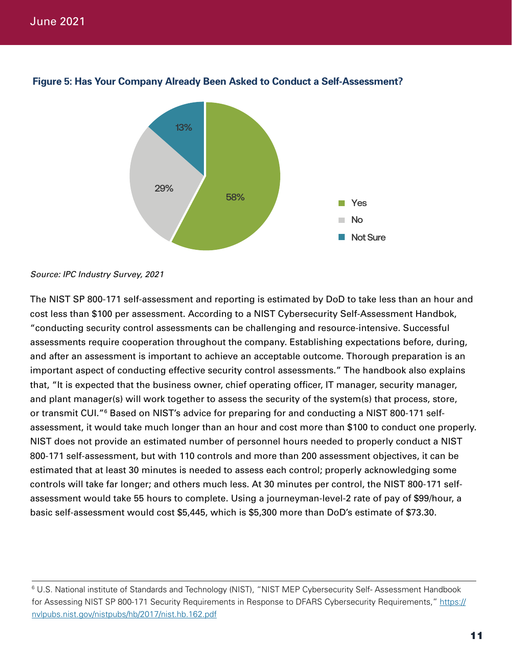

**Figure 5: Has Your Company Already Been Asked to Conduct a Self-Assessment?** 

#### *Source: IPC Industry Survey, 2021*

The NIST SP 800-171 self-assessment and reporting is estimated by DoD to take less than an hour and cost less than \$100 per assessment. According to a NIST Cybersecurity Self-Assessment Handbok, "conducting security control assessments can be challenging and resource-intensive. Successful assessments require cooperation throughout the company. Establishing expectations before, during, and after an assessment is important to achieve an acceptable outcome. Thorough preparation is an important aspect of conducting effective security control assessments." The handbook also explains that, "It is expected that the business owner, chief operating officer, IT manager, security manager, and plant manager(s) will work together to assess the security of the system(s) that process, store, or transmit CUI."6 Based on NIST's advice for preparing for and conducting a NIST 800-171 selfassessment, it would take much longer than an hour and cost more than \$100 to conduct one properly. NIST does not provide an estimated number of personnel hours needed to properly conduct a NIST 800-171 self-assessment, but with 110 controls and more than 200 assessment objectives, it can be estimated that at least 30 minutes is needed to assess each control; properly acknowledging some controls will take far longer; and others much less. At 30 minutes per control, the NIST 800-171 selfassessment would take 55 hours to complete. Using a journeyman-level-2 rate of pay of \$99/hour, a basic self-assessment would cost \$5,445, which is \$5,300 more than DoD's estimate of \$73.30.

<sup>6</sup> U.S. National institute of Standards and Technology (NIST), "NIST MEP Cybersecurity Self- Assessment Handbook for Assessing NIST SP 800-171 Security Requirements in Response to DFARS Cybersecurity Requirements," [https://](https://nvlpubs.nist.gov/nistpubs/hb/2017/nist.hb.162.pdf) [nvlpubs.nist.gov/nistpubs/hb/2017/nist.hb.162.pdf](https://nvlpubs.nist.gov/nistpubs/hb/2017/nist.hb.162.pdf)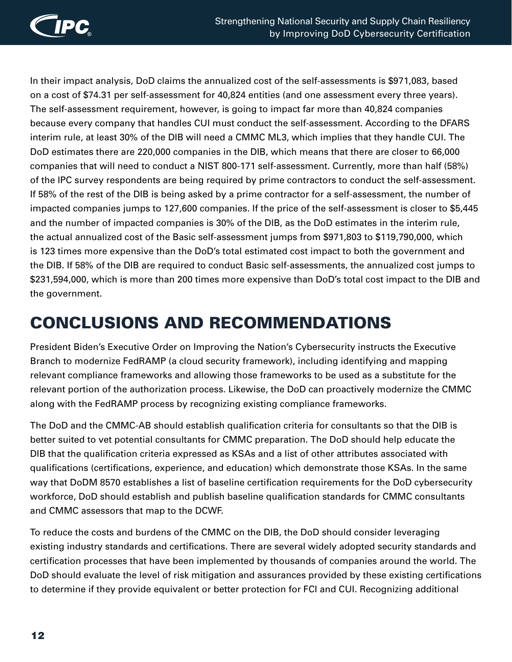

In their impact analysis, DoD claims the annualized cost of the self-assessments is \$971,083, based on a cost of \$74.31 per self-assessment for 40,824 entities (and one assessment every three years). The self-assessment requirement, however, is going to impact far more than 40,824 companies because every company that handles CUI must conduct the self-assessment. According to the DFARS interim rule, at least 30% of the DIB will need a CMMC ML3, which implies that they handle CUI. The DoD estimates there are 220,000 companies in the DIB, which means that there are closer to 66,000 companies that will need to conduct a NIST 800-171 self-assessment. Currently, more than half (58%) of the IPC survey respondents are being required by prime contractors to conduct the self-assessment. If 58% of the rest of the DIB is being asked by a prime contractor for a self-assessment, the number of impacted companies jumps to 127,600 companies. If the price of the self-assessment is closer to \$5,445 and the number of impacted companies is 30% of the DIB, as the DoD estimates in the interim rule, the actual annualized cost of the Basic self-assessment jumps from \$971,803 to \$119,790,000, which is 123 times more expensive than the DoD's total estimated cost impact to both the government and the DIB. If 58% of the DIB are required to conduct Basic self-assessments, the annualized cost jumps to \$231,594,000, which is more than 200 times more expensive than DoD's total cost impact to the DIB and the government.

## CONCLUSIONS AND RECOMMENDATIONS

President Biden's Executive Order on Improving the Nation's Cybersecurity instructs the Executive Branch to modernize FedRAMP (a cloud security framework), including identifying and mapping relevant compliance frameworks and allowing those frameworks to be used as a substitute for the relevant portion of the authorization process. Likewise, the DoD can proactively modernize the CMMC along with the FedRAMP process by recognizing existing compliance frameworks.

The DoD and the CMMC-AB should establish qualification criteria for consultants so that the DIB is better suited to vet potential consultants for CMMC preparation. The DoD should help educate the DIB that the qualification criteria expressed as KSAs and a list of other attributes associated with qualifications (certifications, experience, and education) which demonstrate those KSAs. In the same way that DoDM 8570 establishes a list of baseline certification requirements for the DoD cybersecurity workforce, DoD should establish and publish baseline qualification standards for CMMC consultants and CMMC assessors that map to the DCWF.

To reduce the costs and burdens of the CMMC on the DIB, the DoD should consider leveraging existing industry standards and certifications. There are several widely adopted security standards and certification processes that have been implemented by thousands of companies around the world. The DoD should evaluate the level of risk mitigation and assurances provided by these existing certifications to determine if they provide equivalent or better protection for FCI and CUI. Recognizing additional